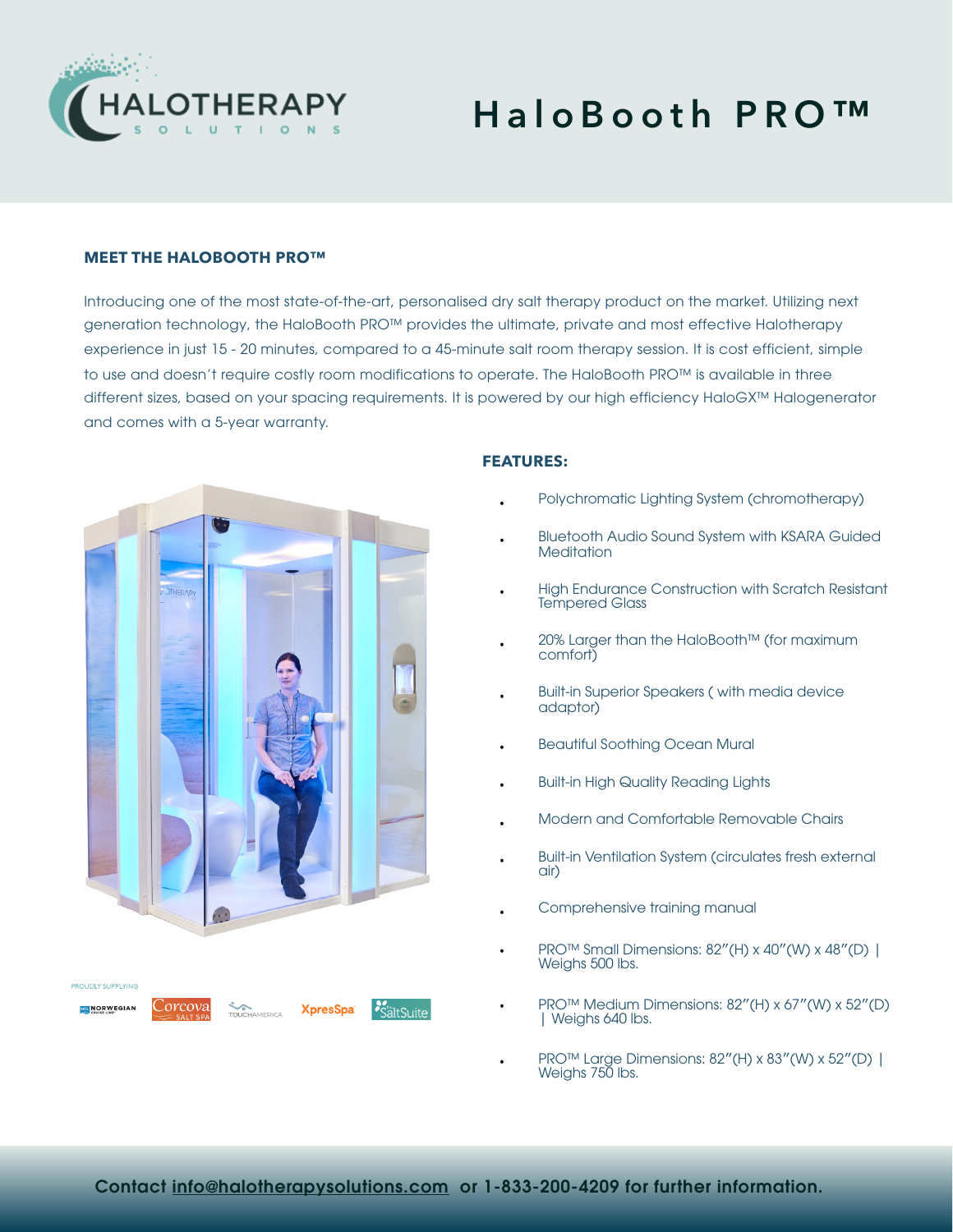

# **HaloBooth PRO™**

#### **MEET THE HALOBOOTH PRO™**

Introducing one of the most state-of-the-art, personalised dry salt therapy product on the market. Utilizing next generation technology, the HaloBooth PRO™ provides the ultimate, private and most effective Halotherapy experience in just 15 - 20 minutes, compared to a 45-minute salt room therapy session. It is cost efficient, simple to use and doesn't require costly room modifications to operate. The HaloBooth PRO™ is available in three different sizes, based on your spacing requirements. It is powered by our high efficiency HaloGX™ Halogenerator and comes with a 5-year warranty.



#### **FEATURES:**

- Polychromatic Lighting System (chromotherapy)
- Bluetooth Audio Sound System with KSARA Guided **Meditation**
- High Endurance Construction with Scratch Resistant Tempered Glass
- 20% Larger than the HaloBooth™ (for maximum comfort)
- Built-in Superior Speakers ( with media device adaptor)
- Beautiful Soothing Ocean Mural
- Built-in High Quality Reading Lights
- Modern and Comfortable Removable Chairs
- Built-in Ventilation System (circulates fresh external air)
- Comprehensive training manual
- PRO™ Small Dimensions: 82″(H) x 40″(W) x 48″(D) | Weighs 500 lbs.
- PRO™ Medium Dimensions: 82″(H) x 67″(W) x 52″(D) | Weighs 640 lbs.
- PRO™ Large Dimensions: 82″(H) x 83″(W) x 52″(D) | Weighs 750 lbs.